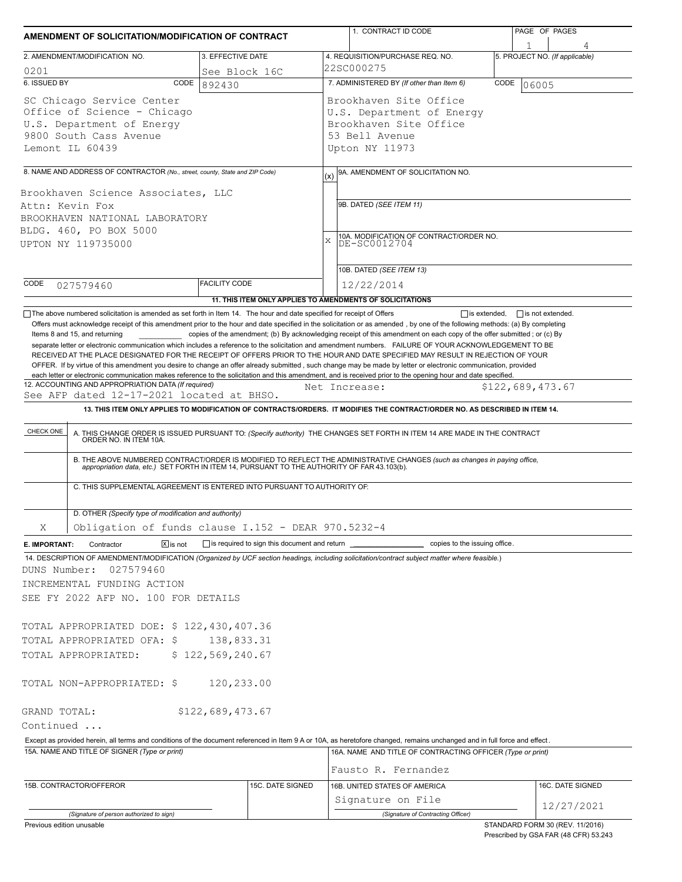| AMENDMENT OF SOLICITATION/MODIFICATION OF CONTRACT                                                                                                                                                                                                                                                                                                                                                                                                                                                                        |                                | 1. CONTRACT ID CODE                                                                                                                                                                                                                                                                                                                                                       | PAGE OF PAGES                                                            |  |  |  |
|---------------------------------------------------------------------------------------------------------------------------------------------------------------------------------------------------------------------------------------------------------------------------------------------------------------------------------------------------------------------------------------------------------------------------------------------------------------------------------------------------------------------------|--------------------------------|---------------------------------------------------------------------------------------------------------------------------------------------------------------------------------------------------------------------------------------------------------------------------------------------------------------------------------------------------------------------------|--------------------------------------------------------------------------|--|--|--|
| 2. AMENDMENT/MODIFICATION NO.                                                                                                                                                                                                                                                                                                                                                                                                                                                                                             | 3. EFFECTIVE DATE              | 4. REQUISITION/PURCHASE REQ. NO.                                                                                                                                                                                                                                                                                                                                          | 5. PROJECT NO. (If applicable)                                           |  |  |  |
| 0201                                                                                                                                                                                                                                                                                                                                                                                                                                                                                                                      | See Block 16C                  | 22SC000275                                                                                                                                                                                                                                                                                                                                                                |                                                                          |  |  |  |
| 6. ISSUED BY<br>CODE                                                                                                                                                                                                                                                                                                                                                                                                                                                                                                      | 892430                         | 7. ADMINISTERED BY (If other than Item 6)                                                                                                                                                                                                                                                                                                                                 | CODE<br>06005                                                            |  |  |  |
| SC Chicago Service Center<br>Office of Science - Chicago<br>U.S. Department of Energy<br>9800 South Cass Avenue<br>Lemont IL 60439                                                                                                                                                                                                                                                                                                                                                                                        |                                | Brookhaven Site Office<br>U.S. Department of Energy<br>Brookhaven Site Office<br>53 Bell Avenue<br>Upton NY 11973                                                                                                                                                                                                                                                         |                                                                          |  |  |  |
|                                                                                                                                                                                                                                                                                                                                                                                                                                                                                                                           |                                |                                                                                                                                                                                                                                                                                                                                                                           |                                                                          |  |  |  |
| 8. NAME AND ADDRESS OF CONTRACTOR (No., street, county, State and ZIP Code)                                                                                                                                                                                                                                                                                                                                                                                                                                               |                                | 9A. AMENDMENT OF SOLICITATION NO.<br>(x)                                                                                                                                                                                                                                                                                                                                  |                                                                          |  |  |  |
| Brookhaven Science Associates, LLC<br>Attn: Kevin Fox<br>BROOKHAVEN NATIONAL LABORATORY<br>BLDG. 460, PO BOX 5000<br>UPTON NY 119735000                                                                                                                                                                                                                                                                                                                                                                                   |                                | 9B. DATED (SEE ITEM 11)<br>10A. MODIFICATION OF CONTRACT/ORDER NO.<br>DE-SC0012704<br>X<br>10B. DATED (SEE ITEM 13)                                                                                                                                                                                                                                                       |                                                                          |  |  |  |
| CODE                                                                                                                                                                                                                                                                                                                                                                                                                                                                                                                      | <b>FACILITY CODE</b>           | 12/22/2014                                                                                                                                                                                                                                                                                                                                                                |                                                                          |  |  |  |
| 027579460                                                                                                                                                                                                                                                                                                                                                                                                                                                                                                                 |                                | 11. THIS ITEM ONLY APPLIES TO AMENDMENTS OF SOLICITATIONS                                                                                                                                                                                                                                                                                                                 |                                                                          |  |  |  |
| RECEIVED AT THE PLACE DESIGNATED FOR THE RECEIPT OF OFFERS PRIOR TO THE HOUR AND DATE SPECIFIED MAY RESULT IN REJECTION OF YOUR<br>OFFER. If by virtue of this amendment you desire to change an offer already submitted, such change may be made by letter or electronic communication, provided<br>each letter or electronic communication makes reference to the solicitation and this amendment, and is received prior to the opening hour and date specified.<br>12. ACCOUNTING AND APPROPRIATION DATA (If required) |                                | Net Increase:                                                                                                                                                                                                                                                                                                                                                             | \$122,689,473.67                                                         |  |  |  |
| See AFP dated 12-17-2021 located at BHSO.                                                                                                                                                                                                                                                                                                                                                                                                                                                                                 |                                |                                                                                                                                                                                                                                                                                                                                                                           |                                                                          |  |  |  |
|                                                                                                                                                                                                                                                                                                                                                                                                                                                                                                                           |                                | 13. THIS ITEM ONLY APPLIES TO MODIFICATION OF CONTRACTS/ORDERS. IT MODIFIES THE CONTRACT/ORDER NO. AS DESCRIBED IN ITEM 14.                                                                                                                                                                                                                                               |                                                                          |  |  |  |
| C. THIS SUPPLEMENTAL AGREEMENT IS ENTERED INTO PURSUANT TO AUTHORITY OF:                                                                                                                                                                                                                                                                                                                                                                                                                                                  |                                | A. THIS CHANGE ORDER IS ISSUED PURSUANT TO: (Specify authority) THE CHANGES SET FORTH IN ITEM 14 ARE MADE IN THE CONTRACT ORDER NO. IN ITEM 10A.<br>B. THE ABOVE NUMBERED CONTRACT/ORDER IS MODIFIED TO REFLECT THE ADMINISTRATIVE CHANGES (such as changes in paying office, appropriation data, etc.) SET FORTH IN ITEM 14, PURSUANT TO THE AUTHORITY OF FAR 43.103(b). |                                                                          |  |  |  |
| D. OTHER (Specify type of modification and authority)<br>Obligation of funds clause I.152 - DEAR 970.5232-4                                                                                                                                                                                                                                                                                                                                                                                                               |                                |                                                                                                                                                                                                                                                                                                                                                                           |                                                                          |  |  |  |
| Χ                                                                                                                                                                                                                                                                                                                                                                                                                                                                                                                         |                                |                                                                                                                                                                                                                                                                                                                                                                           |                                                                          |  |  |  |
| $\boxed{\mathsf{X}}$ is not<br>Contractor<br>E. IMPORTANT:<br>14. DESCRIPTION OF AMENDMENT/MODIFICATION (Organized by UCF section headings, including solicitation/contract subject matter where feasible.)                                                                                                                                                                                                                                                                                                               |                                | is required to sign this document and return ___________________________ copies to the issuing office.                                                                                                                                                                                                                                                                    |                                                                          |  |  |  |
| DUNS Number:<br>027579460<br>INCREMENTAL FUNDING ACTION<br>SEE FY 2022 AFP NO. 100 FOR DETAILS<br>TOTAL APPROPRIATED DOE: \$ 122,430,407.36<br>TOTAL APPROPRIATED OFA: \$<br>TOTAL APPROPRIATED:                                                                                                                                                                                                                                                                                                                          | 138,833.31<br>\$122,569,240.67 |                                                                                                                                                                                                                                                                                                                                                                           |                                                                          |  |  |  |
| TOTAL NON-APPROPRIATED: \$                                                                                                                                                                                                                                                                                                                                                                                                                                                                                                | 120,233.00                     |                                                                                                                                                                                                                                                                                                                                                                           |                                                                          |  |  |  |
| GRAND TOTAL:                                                                                                                                                                                                                                                                                                                                                                                                                                                                                                              | \$122,689,473.67               |                                                                                                                                                                                                                                                                                                                                                                           |                                                                          |  |  |  |
| Continued                                                                                                                                                                                                                                                                                                                                                                                                                                                                                                                 |                                |                                                                                                                                                                                                                                                                                                                                                                           |                                                                          |  |  |  |
| Except as provided herein, all terms and conditions of the document referenced in Item 9 A or 10A, as heretofore changed, remains unchanged and in full force and effect.                                                                                                                                                                                                                                                                                                                                                 |                                |                                                                                                                                                                                                                                                                                                                                                                           |                                                                          |  |  |  |
| 15A. NAME AND TITLE OF SIGNER (Type or print)                                                                                                                                                                                                                                                                                                                                                                                                                                                                             |                                | 16A. NAME AND TITLE OF CONTRACTING OFFICER (Type or print)<br>Fausto R. Fernandez                                                                                                                                                                                                                                                                                         |                                                                          |  |  |  |
| 15B. CONTRACTOR/OFFEROR                                                                                                                                                                                                                                                                                                                                                                                                                                                                                                   | 15C. DATE SIGNED               | 16B. UNITED STATES OF AMERICA                                                                                                                                                                                                                                                                                                                                             | 16C. DATE SIGNED                                                         |  |  |  |
|                                                                                                                                                                                                                                                                                                                                                                                                                                                                                                                           |                                | Signature on File                                                                                                                                                                                                                                                                                                                                                         |                                                                          |  |  |  |
| (Signature of person authorized to sign)                                                                                                                                                                                                                                                                                                                                                                                                                                                                                  |                                | (Signature of Contracting Officer)                                                                                                                                                                                                                                                                                                                                        | 12/27/2021                                                               |  |  |  |
| Previous edition unusable                                                                                                                                                                                                                                                                                                                                                                                                                                                                                                 |                                |                                                                                                                                                                                                                                                                                                                                                                           | STANDARD FORM 30 (REV. 11/2016)<br>Prescribed by GSA FAR (48 CFR) 53.243 |  |  |  |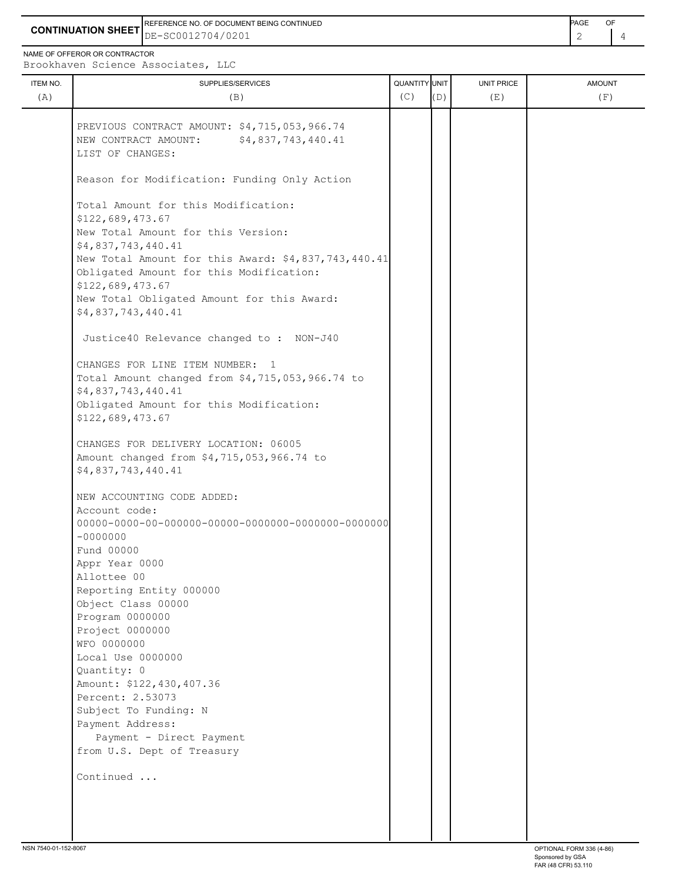**CONTINUATION SHEET** DE-SC0012704/0201 REFERENCE NO. OF DOCUMENT BEING CONTINUED **A CONTINUED PAGE OF PAGE OF PAGE OF PAGE** 

NAME OF OFFEROR OR CONTRACTOR

ITEM NO. ┃ SUPPLIES/SERVICES UNIT PRICE AMOUNT Brookhaven Science Associates, LLC (A)  $(B)$  (B)  $(C)$   $(D)$  (E)  $(E)$  (F) PREVIOUS CONTRACT AMOUNT: \$4,715,053,966.74 NEW CONTRACT AMOUNT: \$4,837,743,440.41 LIST OF CHANGES: Reason for Modification: Funding Only Action Total Amount for this Modification: \$122,689,473.67 New Total Amount for this Version: \$4,837,743,440.41 New Total Amount for this Award: \$4,837,743,440.41 Obligated Amount for this Modification: \$122,689,473.67 New Total Obligated Amount for this Award: \$4,837,743,440.41 Justice40 Relevance changed to : NON-J40 CHANGES FOR LINE ITEM NUMBER: 1 Total Amount changed from \$4,715,053,966.74 to \$4,837,743,440.41 Obligated Amount for this Modification: \$122,689,473.67 CHANGES FOR DELIVERY LOCATION: 06005 Amount changed from \$4,715,053,966.74 to \$4,837,743,440.41 NEW ACCOUNTING CODE ADDED: Account code: 00000-0000-00-000000-00000-0000000-0000000-0000000  $-0000000$  Fund 00000 Appr Year 0000 Allottee 00 Reporting Entity 000000 Object Class 00000 Program 0000000 Project 0000000 WFO 0000000 Local Use 0000000 Quantity: 0 Amount: \$122,430,407.36 Percent: 2.53073 Subject To Funding: N Payment Address: Payment - Direct Payment from U.S. Dept of Treasury Continued ...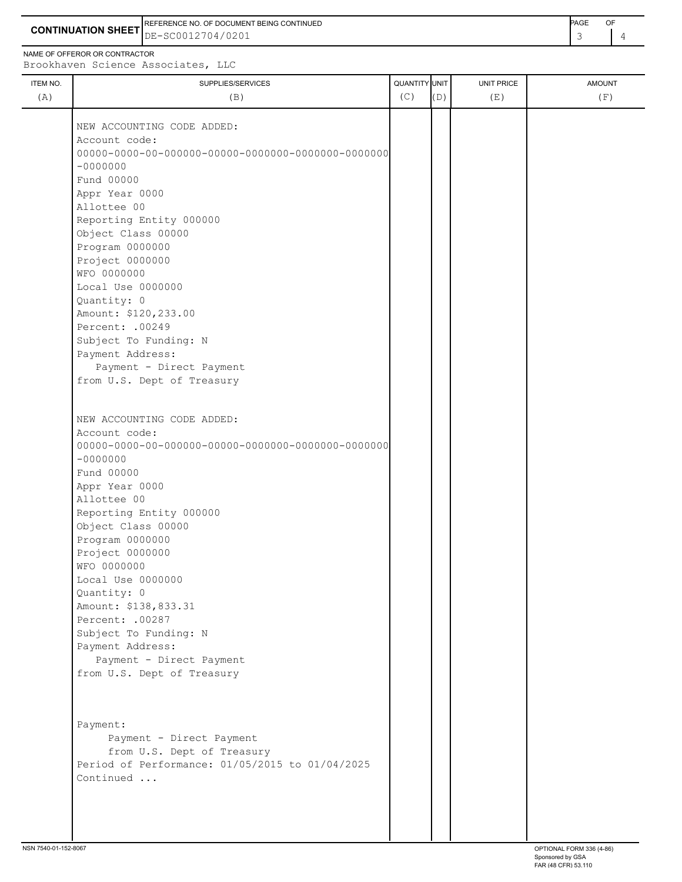**CONTINUATION SHEET** DE-SC0012704/0201 REFERENCE NO. OF DOCUMENT BEING CONTINUED **AGE ACCUMENT ACCUMENT OF A CONTINUED** 

| ITEM NO. | SUPPLIES/SERVICES             | QUANTITY UNIT |     | <b>UNIT PRICE</b> | <b>AMOUNT</b> |
|----------|-------------------------------|---------------|-----|-------------------|---------------|
| (A)      | (B)                           | (C)           | (D) | (E)               | (F)           |
|          |                               |               |     |                   |               |
|          | NEW ACCOUNTING CODE ADDED:    |               |     |                   |               |
|          | Account code:                 |               |     |                   |               |
|          |                               |               |     |                   |               |
|          | $-0000000$                    |               |     |                   |               |
|          | Fund 00000                    |               |     |                   |               |
|          | Appr Year 0000                |               |     |                   |               |
|          | Allottee 00                   |               |     |                   |               |
|          | Reporting Entity 000000       |               |     |                   |               |
|          | Object Class 00000            |               |     |                   |               |
|          | Program 0000000               |               |     |                   |               |
|          | Project 0000000               |               |     |                   |               |
|          | WFO 0000000                   |               |     |                   |               |
|          | Local Use 0000000             |               |     |                   |               |
|          | Quantity: 0                   |               |     |                   |               |
|          | Amount: \$120,233.00          |               |     |                   |               |
|          | Percent: .00249               |               |     |                   |               |
|          | Subject To Funding: N         |               |     |                   |               |
|          | Payment Address:              |               |     |                   |               |
|          | Payment - Direct Payment      |               |     |                   |               |
|          | from U.S. Dept of Treasury    |               |     |                   |               |
|          |                               |               |     |                   |               |
|          | NEW ACCOUNTING CODE ADDED:    |               |     |                   |               |
|          | Account code:                 |               |     |                   |               |
|          | $-00000000$                   |               |     |                   |               |
|          | Fund 00000                    |               |     |                   |               |
|          |                               |               |     |                   |               |
|          | Appr Year 0000<br>Allottee 00 |               |     |                   |               |
|          | Reporting Entity 000000       |               |     |                   |               |
|          | Object Class 00000            |               |     |                   |               |
|          | Program 0000000               |               |     |                   |               |
|          | Project 0000000               |               |     |                   |               |
|          | WFO 0000000                   |               |     |                   |               |
|          | Local Use 0000000             |               |     |                   |               |
|          | Quantity: 0                   |               |     |                   |               |
|          | Amount: \$138,833.31          |               |     |                   |               |
|          | Percent: .00287               |               |     |                   |               |
|          | Subject To Funding: N         |               |     |                   |               |
|          | Payment Address:              |               |     |                   |               |
|          | Payment - Direct Payment      |               |     |                   |               |
|          |                               |               |     |                   |               |
|          | from U.S. Dept of Treasury    |               |     |                   |               |

 Payment: Payment - Direct Payment from U.S. Dept of Treasury Period of Performance: 01/05/2015 to 01/04/2025 Continued ...